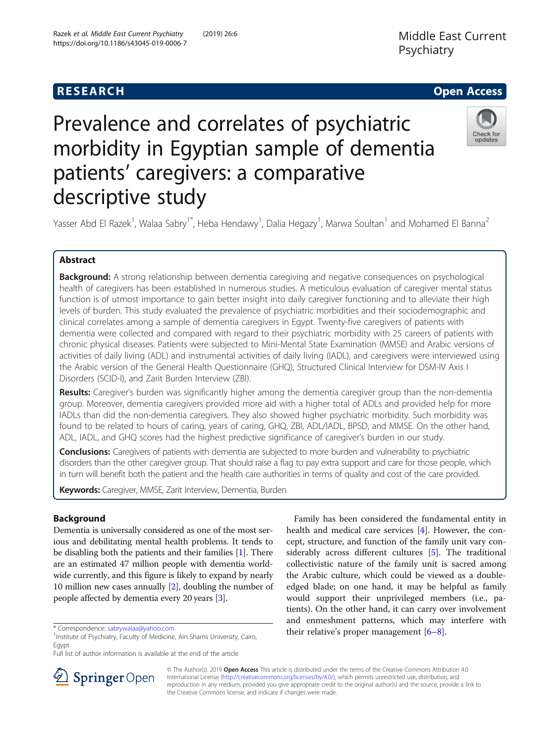# **RESEARCH CHILD CONTROL** CONTROL CONTROL CONTROL CONTROL CONTROL CONTROL CONTROL CONTROL CONTROL CONTROL CONTROL



# Prevalence and correlates of psychiatric morbidity in Egyptian sample of dementia patients' caregivers: a comparative descriptive study

Yasser Abd El Razek<sup>1</sup>, Walaa Sabry<sup>1\*</sup>, Heba Hendawy<sup>1</sup>, Dalia Hegazy<sup>1</sup>, Marwa Soultan<sup>1</sup> and Mohamed El Banna<sup>2</sup>

# Abstract

Background: A strong relationship between dementia caregiving and negative consequences on psychological health of caregivers has been established in numerous studies. A meticulous evaluation of caregiver mental status function is of utmost importance to gain better insight into daily caregiver functioning and to alleviate their high levels of burden. This study evaluated the prevalence of psychiatric morbidities and their sociodemographic and clinical correlates among a sample of dementia caregivers in Egypt. Twenty-five caregivers of patients with dementia were collected and compared with regard to their psychiatric morbidity with 25 careers of patients with chronic physical diseases. Patients were subjected to Mini-Mental State Examination (MMSE) and Arabic versions of activities of daily living (ADL) and instrumental activities of daily living (IADL), and caregivers were interviewed using the Arabic version of the General Health Questionnaire (GHQ), Structured Clinical Interview for DSM-IV Axis I Disorders (SCID-I), and Zarit Burden Interview (ZBI).

Results: Caregiver's burden was significantly higher among the dementia caregiver group than the non-dementia group. Moreover, dementia caregivers provided more aid with a higher total of ADLs and provided help for more IADLs than did the non-dementia caregivers. They also showed higher psychiatric morbidity. Such morbidity was found to be related to hours of caring, years of caring, GHQ, ZBI, ADL/IADL, BPSD, and MMSE. On the other hand, ADL, IADL, and GHQ scores had the highest predictive significance of caregiver's burden in our study.

Conclusions: Caregivers of patients with dementia are subjected to more burden and vulnerability to psychiatric disorders than the other caregiver group. That should raise a flag to pay extra support and care for those people, which in turn will benefit both the patient and the health care authorities in terms of quality and cost of the care provided.

Keywords: Caregiver, MMSE, Zarit Interview, Dementia, Burden

# Background

Dementia is universally considered as one of the most serious and debilitating mental health problems. It tends to be disabling both the patients and their families [[1\]](#page-8-0). There are an estimated 47 million people with dementia worldwide currently, and this figure is likely to expand by nearly 10 million new cases annually [\[2\]](#page-8-0), doubling the number of people affected by dementia every 20 years [\[3\]](#page-8-0).

Family has been considered the fundamental entity in health and medical care services [\[4\]](#page-8-0). However, the concept, structure, and function of the family unit vary considerably across different cultures [[5\]](#page-8-0). The traditional collectivistic nature of the family unit is sacred among the Arabic culture, which could be viewed as a doubleedged blade; on one hand, it may be helpful as family would support their unprivileged members (i.e., patients). On the other hand, it can carry over involvement and enmeshment patterns, which may interfere with their relative's proper management  $[6-8]$  $[6-8]$  $[6-8]$ .



© The Author(s). 2019 Open Access This article is distributed under the terms of the Creative Commons Attribution 4.0 International License ([http://creativecommons.org/licenses/by/4.0/\)](http://creativecommons.org/licenses/by/4.0/), which permits unrestricted use, distribution, and reproduction in any medium, provided you give appropriate credit to the original author(s) and the source, provide a link to the Creative Commons license, and indicate if changes were made.

<sup>\*</sup> Correspondence: [sabrywalaa@yahoo.com](mailto:sabrywalaa@yahoo.com) <sup>1</sup>

<sup>&</sup>lt;sup>1</sup>Institute of Psychiatry, Faculty of Medicine, Ain Shams University, Cairo, Egypt

Full list of author information is available at the end of the article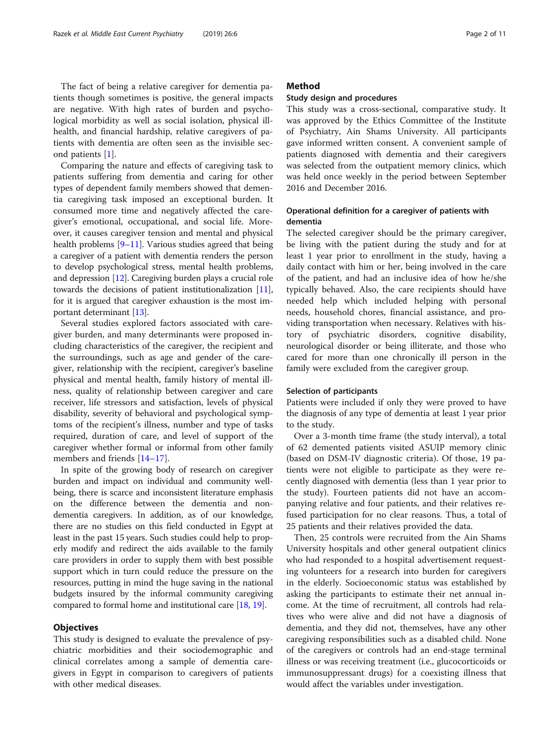# The fact of being a relative caregiver for dementia patients though sometimes is positive, the general impacts are negative. With high rates of burden and psychological morbidity as well as social isolation, physical illhealth, and financial hardship, relative caregivers of patients with dementia are often seen as the invisible second patients [[1](#page-8-0)].

Comparing the nature and effects of caregiving task to patients suffering from dementia and caring for other types of dependent family members showed that dementia caregiving task imposed an exceptional burden. It consumed more time and negatively affected the caregiver's emotional, occupational, and social life. Moreover, it causes caregiver tension and mental and physical health problems [[9](#page-9-0)–[11](#page-9-0)]. Various studies agreed that being a caregiver of a patient with dementia renders the person to develop psychological stress, mental health problems, and depression [\[12](#page-9-0)]. Caregiving burden plays a crucial role towards the decisions of patient institutionalization [[11](#page-9-0)], for it is argued that caregiver exhaustion is the most important determinant [[13](#page-9-0)].

Several studies explored factors associated with caregiver burden, and many determinants were proposed including characteristics of the caregiver, the recipient and the surroundings, such as age and gender of the caregiver, relationship with the recipient, caregiver's baseline physical and mental health, family history of mental illness, quality of relationship between caregiver and care receiver, life stressors and satisfaction, levels of physical disability, severity of behavioral and psychological symptoms of the recipient's illness, number and type of tasks required, duration of care, and level of support of the caregiver whether formal or informal from other family members and friends [\[14](#page-9-0)–[17\]](#page-9-0).

In spite of the growing body of research on caregiver burden and impact on individual and community wellbeing, there is scarce and inconsistent literature emphasis on the difference between the dementia and nondementia caregivers. In addition, as of our knowledge, there are no studies on this field conducted in Egypt at least in the past 15 years. Such studies could help to properly modify and redirect the aids available to the family care providers in order to supply them with best possible support which in turn could reduce the pressure on the resources, putting in mind the huge saving in the national budgets insured by the informal community caregiving compared to formal home and institutional care [\[18](#page-9-0), [19](#page-9-0)].

#### **Objectives**

This study is designed to evaluate the prevalence of psychiatric morbidities and their sociodemographic and clinical correlates among a sample of dementia caregivers in Egypt in comparison to caregivers of patients with other medical diseases.

## Method

#### Study design and procedures

This study was a cross-sectional, comparative study. It was approved by the Ethics Committee of the Institute of Psychiatry, Ain Shams University. All participants gave informed written consent. A convenient sample of patients diagnosed with dementia and their caregivers was selected from the outpatient memory clinics, which was held once weekly in the period between September 2016 and December 2016.

# Operational definition for a caregiver of patients with dementia

The selected caregiver should be the primary caregiver, be living with the patient during the study and for at least 1 year prior to enrollment in the study, having a daily contact with him or her, being involved in the care of the patient, and had an inclusive idea of how he/she typically behaved. Also, the care recipients should have needed help which included helping with personal needs, household chores, financial assistance, and providing transportation when necessary. Relatives with history of psychiatric disorders, cognitive disability, neurological disorder or being illiterate, and those who cared for more than one chronically ill person in the family were excluded from the caregiver group.

#### Selection of participants

Patients were included if only they were proved to have the diagnosis of any type of dementia at least 1 year prior to the study.

Over a 3-month time frame (the study interval), a total of 62 demented patients visited ASUIP memory clinic (based on DSM-IV diagnostic criteria). Of those, 19 patients were not eligible to participate as they were recently diagnosed with dementia (less than 1 year prior to the study). Fourteen patients did not have an accompanying relative and four patients, and their relatives refused participation for no clear reasons. Thus, a total of 25 patients and their relatives provided the data.

Then, 25 controls were recruited from the Ain Shams University hospitals and other general outpatient clinics who had responded to a hospital advertisement requesting volunteers for a research into burden for caregivers in the elderly. Socioeconomic status was established by asking the participants to estimate their net annual income. At the time of recruitment, all controls had relatives who were alive and did not have a diagnosis of dementia, and they did not, themselves, have any other caregiving responsibilities such as a disabled child. None of the caregivers or controls had an end-stage terminal illness or was receiving treatment (i.e., glucocorticoids or immunosuppressant drugs) for a coexisting illness that would affect the variables under investigation.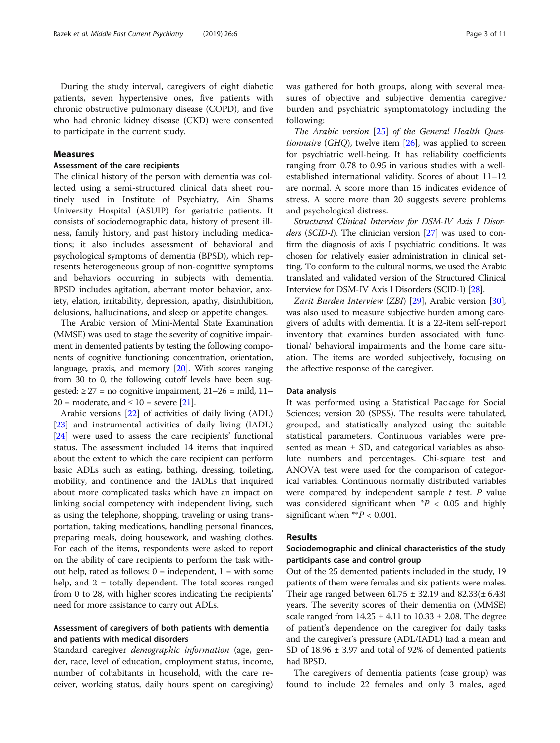During the study interval, caregivers of eight diabetic patients, seven hypertensive ones, five patients with chronic obstructive pulmonary disease (COPD), and five who had chronic kidney disease (CKD) were consented to participate in the current study.

# Measures

### Assessment of the care recipients

The clinical history of the person with dementia was collected using a semi-structured clinical data sheet routinely used in Institute of Psychiatry, Ain Shams University Hospital (ASUIP) for geriatric patients. It consists of sociodemographic data, history of present illness, family history, and past history including medications; it also includes assessment of behavioral and psychological symptoms of dementia (BPSD), which represents heterogeneous group of non-cognitive symptoms and behaviors occurring in subjects with dementia. BPSD includes agitation, aberrant motor behavior, anxiety, elation, irritability, depression, apathy, disinhibition, delusions, hallucinations, and sleep or appetite changes.

The Arabic version of Mini-Mental State Examination (MMSE) was used to stage the severity of cognitive impairment in demented patients by testing the following components of cognitive functioning: concentration, orientation, language, praxis, and memory [[20](#page-9-0)]. With scores ranging from 30 to 0, the following cutoff levels have been suggested: ≥ 27 = no cognitive impairment,  $21-26$  = mild, 11– 20 = moderate, and  $\leq 10$  = severe [[21](#page-9-0)].

Arabic versions [[22\]](#page-9-0) of activities of daily living (ADL) [[23\]](#page-9-0) and instrumental activities of daily living (IADL) [[24\]](#page-9-0) were used to assess the care recipients' functional status. The assessment included 14 items that inquired about the extent to which the care recipient can perform basic ADLs such as eating, bathing, dressing, toileting, mobility, and continence and the IADLs that inquired about more complicated tasks which have an impact on linking social competency with independent living, such as using the telephone, shopping, traveling or using transportation, taking medications, handling personal finances, preparing meals, doing housework, and washing clothes. For each of the items, respondents were asked to report on the ability of care recipients to perform the task without help, rated as follows:  $0 =$  independent,  $1 =$  with some help, and 2 = totally dependent. The total scores ranged from 0 to 28, with higher scores indicating the recipients' need for more assistance to carry out ADLs.

# Assessment of caregivers of both patients with dementia and patients with medical disorders

Standard caregiver demographic information (age, gender, race, level of education, employment status, income, number of cohabitants in household, with the care receiver, working status, daily hours spent on caregiving) was gathered for both groups, along with several measures of objective and subjective dementia caregiver burden and psychiatric symptomatology including the following:

The Arabic version [\[25](#page-9-0)] of the General Health Ques*tionnaire* (GHQ), twelve item  $[26]$  $[26]$ , was applied to screen for psychiatric well-being. It has reliability coefficients ranging from 0.78 to 0.95 in various studies with a wellestablished international validity. Scores of about 11–12 are normal. A score more than 15 indicates evidence of stress. A score more than 20 suggests severe problems and psychological distress.

Structured Clinical Interview for DSM-IV Axis I Disor-ders (SCID-I). The clinician version [\[27\]](#page-9-0) was used to confirm the diagnosis of axis I psychiatric conditions. It was chosen for relatively easier administration in clinical setting. To conform to the cultural norms, we used the Arabic translated and validated version of the Structured Clinical Interview for DSM-IV Axis I Disorders (SCID-I) [\[28\]](#page-9-0).

Zarit Burden Interview (ZBI) [[29](#page-9-0)], Arabic version [\[30](#page-9-0)], was also used to measure subjective burden among caregivers of adults with dementia. It is a 22-item self-report inventory that examines burden associated with functional/ behavioral impairments and the home care situation. The items are worded subjectively, focusing on the affective response of the caregiver.

#### Data analysis

It was performed using a Statistical Package for Social Sciences; version 20 (SPSS). The results were tabulated, grouped, and statistically analyzed using the suitable statistical parameters. Continuous variables were presented as mean  $\pm$  SD, and categorical variables as absolute numbers and percentages. Chi-square test and ANOVA test were used for the comparison of categorical variables. Continuous normally distributed variables were compared by independent sample  $t$  test.  $P$  value was considered significant when  $P < 0.05$  and highly significant when  $^{**}P < 0.001$ .

# Results

# Sociodemographic and clinical characteristics of the study participants case and control group

Out of the 25 demented patients included in the study, 19 patients of them were females and six patients were males. Their age ranged between  $61.75 \pm 32.19$  and  $82.33(\pm 6.43)$ years. The severity scores of their dementia on (MMSE) scale ranged from  $14.25 \pm 4.11$  to  $10.33 \pm 2.08$ . The degree of patient's dependence on the caregiver for daily tasks and the caregiver's pressure (ADL/IADL) had a mean and SD of 18.96  $\pm$  3.97 and total of 92% of demented patients had BPSD.

The caregivers of dementia patients (case group) was found to include 22 females and only 3 males, aged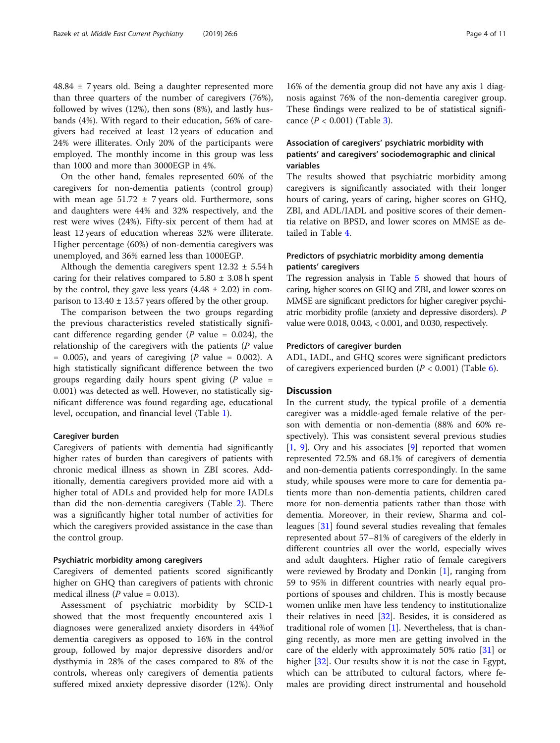48.84 ± 7 years old. Being a daughter represented more than three quarters of the number of caregivers (76%), followed by wives (12%), then sons (8%), and lastly husbands (4%). With regard to their education, 56% of caregivers had received at least 12 years of education and 24% were illiterates. Only 20% of the participants were employed. The monthly income in this group was less than 1000 and more than 3000EGP in 4%.

On the other hand, females represented 60% of the caregivers for non-dementia patients (control group) with mean age  $51.72 \pm 7$  years old. Furthermore, sons and daughters were 44% and 32% respectively, and the rest were wives (24%). Fifty-six percent of them had at least 12 years of education whereas 32% were illiterate. Higher percentage (60%) of non-dementia caregivers was unemployed, and 36% earned less than 1000EGP.

Although the dementia caregivers spent  $12.32 \pm 5.54$  h caring for their relatives compared to  $5.80 \pm 3.08$  h spent by the control, they gave less years  $(4.48 \pm 2.02)$  in comparison to  $13.40 \pm 13.57$  years offered by the other group.

The comparison between the two groups regarding the previous characteristics reveled statistically significant difference regarding gender ( $P$  value = 0.024), the relationship of the caregivers with the patients  $(P \text{ value})$  $= 0.005$ ), and years of caregiving (P value  $= 0.002$ ). A high statistically significant difference between the two groups regarding daily hours spent giving  $(P \text{ value } =$ 0.001) was detected as well. However, no statistically significant difference was found regarding age, educational level, occupation, and financial level (Table [1](#page-4-0)).

#### Caregiver burden

Caregivers of patients with dementia had significantly higher rates of burden than caregivers of patients with chronic medical illness as shown in ZBI scores. Additionally, dementia caregivers provided more aid with a higher total of ADLs and provided help for more IADLs than did the non-dementia caregivers (Table [2](#page-4-0)). There was a significantly higher total number of activities for which the caregivers provided assistance in the case than the control group.

#### Psychiatric morbidity among caregivers

Caregivers of demented patients scored significantly higher on GHQ than caregivers of patients with chronic medical illness ( $P$  value = 0.013).

Assessment of psychiatric morbidity by SCID-1 showed that the most frequently encountered axis 1 diagnoses were generalized anxiety disorders in 44%of dementia caregivers as opposed to 16% in the control group, followed by major depressive disorders and/or dysthymia in 28% of the cases compared to 8% of the controls, whereas only caregivers of dementia patients suffered mixed anxiety depressive disorder (12%). Only

16% of the dementia group did not have any axis 1 diagnosis against 76% of the non-dementia caregiver group. These findings were realized to be of statistical significance  $(P < 0.001)$  (Table [3](#page-5-0)).

# Association of caregivers' psychiatric morbidity with patients' and caregivers' sociodemographic and clinical variables

The results showed that psychiatric morbidity among caregivers is significantly associated with their longer hours of caring, years of caring, higher scores on GHQ, ZBI, and ADL/IADL and positive scores of their dementia relative on BPSD, and lower scores on MMSE as detailed in Table [4.](#page-6-0)

# Predictors of psychiatric morbidity among dementia patients' caregivers

The regression analysis in Table [5](#page-7-0) showed that hours of caring, higher scores on GHQ and ZBI, and lower scores on MMSE are significant predictors for higher caregiver psychiatric morbidity profile (anxiety and depressive disorders). P value were 0.018, 0.043, < 0.001, and 0.030, respectively.

# Predictors of caregiver burden

ADL, IADL, and GHQ scores were significant predictors of caregivers experienced burden  $(P < 0.001)$  (Table [6\)](#page-7-0).

#### **Discussion**

In the current study, the typical profile of a dementia caregiver was a middle-aged female relative of the person with dementia or non-dementia (88% and 60% respectively). This was consistent several previous studies  $[1, 9]$  $[1, 9]$  $[1, 9]$  $[1, 9]$  $[1, 9]$ . Ory and his associates  $[9]$  $[9]$  reported that women represented 72.5% and 68.1% of caregivers of dementia and non-dementia patients correspondingly. In the same study, while spouses were more to care for dementia patients more than non-dementia patients, children cared more for non-dementia patients rather than those with dementia. Moreover, in their review, Sharma and colleagues [[31\]](#page-9-0) found several studies revealing that females represented about 57–81% of caregivers of the elderly in different countries all over the world, especially wives and adult daughters. Higher ratio of female caregivers were reviewed by Brodaty and Donkin [[1\]](#page-8-0), ranging from 59 to 95% in different countries with nearly equal proportions of spouses and children. This is mostly because women unlike men have less tendency to institutionalize their relatives in need  $[32]$  $[32]$ . Besides, it is considered as traditional role of women [\[1](#page-8-0)]. Nevertheless, that is changing recently, as more men are getting involved in the care of the elderly with approximately 50% ratio [\[31\]](#page-9-0) or higher [\[32](#page-9-0)]. Our results show it is not the case in Egypt, which can be attributed to cultural factors, where females are providing direct instrumental and household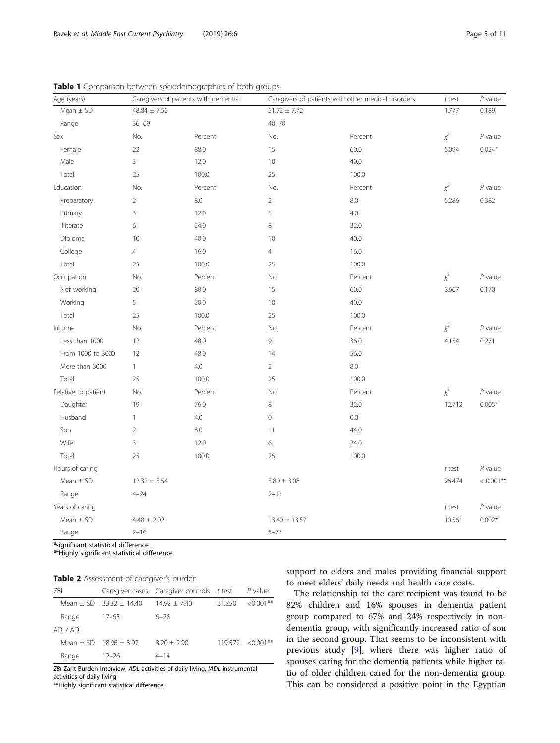| Age (years)         |                  | Caregivers of patients with dementia |                   | Caregivers of patients with other medical disorders | $t$ test | $P$ value    |
|---------------------|------------------|--------------------------------------|-------------------|-----------------------------------------------------|----------|--------------|
| Mean $\pm$ SD       | $48.84 \pm 7.55$ |                                      | $51.72 \pm 7.72$  |                                                     |          | 0.189        |
| Range               | $36 - 69$        |                                      | $40 - 70$         |                                                     |          |              |
| Sex                 | No.              | Percent                              | No.               | Percent                                             | $\chi^2$ | $P$ value    |
| Female              | 22               | 88.0                                 | 15                | 60.0                                                | 5.094    | $0.024*$     |
| Male                | $\mathbf{3}$     | 12.0                                 | 10                | 40.0                                                |          |              |
| Total               | 25               | 100.0                                | 25                | 100.0                                               |          |              |
| Education           | No.              | Percent                              | No.               | Percent                                             | $\chi^2$ | $P$ value    |
| Preparatory         | $\overline{2}$   | 8.0                                  | $\overline{2}$    | 8.0                                                 | 5.286    | 0.382        |
| Primary             | 3                | 12.0                                 | $\mathbf{1}$      | 4.0                                                 |          |              |
| Illiterate          | 6                | 24.0                                 | $\,8\,$           | 32.0                                                |          |              |
| Diploma             | 10               | 40.0                                 | 10                | 40.0                                                |          |              |
| College             | $\overline{4}$   | 16.0                                 | $\overline{4}$    | 16.0                                                |          |              |
| Total               | 25               | 100.0                                | 25                | 100.0                                               |          |              |
| Occupation          | No.              | Percent                              | No.               | Percent                                             | $x^2$    | $P$ value    |
| Not working         | 20               | 80.0                                 | 15                | 60.0                                                | 3.667    | 0.170        |
| Working             | 5                | 20.0                                 | 10                | 40.0                                                |          |              |
| Total               | 25               | 100.0                                | 25                | 100.0                                               |          |              |
| Income              | No.              | Percent                              | No.               | Percent                                             | $x^2$    | $P$ value    |
| Less than 1000      | 12               | 48.0                                 | 9                 | 36.0                                                | 4.154    | 0.271        |
| From 1000 to 3000   | 12               | 48.0                                 | 14                | 56.0                                                |          |              |
| More than 3000      | $\mathbf{1}$     | $4.0\,$                              | $\overline{2}$    | 8.0                                                 |          |              |
| Total               | 25               | 100.0                                | 25                | 100.0                                               |          |              |
| Relative to patient | No.              | Percent                              | No.               | Percent                                             | $\chi^2$ | $P$ value    |
| Daughter            | 19               | 76.0                                 | $\,8\,$           | 32.0                                                | 12.712   | $0.005*$     |
| Husband             | $\mathbf{1}$     | 4.0                                  | $\mathbf 0$       | 0.0                                                 |          |              |
| Son                 | $\overline{2}$   | 8.0                                  | 11                | 44.0                                                |          |              |
| Wife                | 3                | 12.0                                 | $\,$ 6 $\,$       | 24.0                                                |          |              |
| Total               | 25               | 100.0                                | 25                | 100.0                                               |          |              |
| Hours of caring     |                  |                                      |                   |                                                     | $t$ test | $P$ value    |
| Mean $\pm$ SD       | $12.32 \pm 5.54$ |                                      | $5.80 \pm 3.08$   |                                                     | 26.474   | $< 0.001$ ** |
| Range               | $4 - 24$         |                                      | $2 - 13$          |                                                     |          |              |
| Years of caring     |                  |                                      |                   |                                                     | $t$ test | $P$ value    |
| Mean $\pm$ SD       | $4.48 \pm 2.02$  |                                      | $13.40 \pm 13.57$ |                                                     | 10.561   | $0.002*$     |
| Range               | $2 - 10$         |                                      | $5 - 77$          |                                                     |          |              |

<span id="page-4-0"></span>Table 1 Comparison between sociodemographics of both groups

\*significant statistical difference

\*\*Highly significant statistical difference

Table 2 Assessment of caregiver's burden

| 7BI       |                       | Caregiver cases Caregiver controls t test |       | $P$ value               |
|-----------|-----------------------|-------------------------------------------|-------|-------------------------|
|           | Mean + SD 3332 + 1440 | $14.92 + 7.40$                            | 31250 | $< 0.001$ **            |
| Range     | $17 - 65$             | $6 - 28$                                  |       |                         |
| ADI /IADI |                       |                                           |       |                         |
|           | Mean + SD 1896 + 397  | $8.20 + 2.90$                             |       | $119572 \times 0.001**$ |
| Range     | $12 - 26$             | $4 - 14$                                  |       |                         |

ZBI Zarit Burden Interview, ADL activities of daily living, IADL instrumental activities of daily living

\*\*Highly significant statistical difference

support to elders and males providing financial support to meet elders' daily needs and health care costs.

The relationship to the care recipient was found to be 82% children and 16% spouses in dementia patient group compared to 67% and 24% respectively in nondementia group, with significantly increased ratio of son in the second group. That seems to be inconsistent with previous study [[9\]](#page-9-0), where there was higher ratio of spouses caring for the dementia patients while higher ratio of older children cared for the non-dementia group. This can be considered a positive point in the Egyptian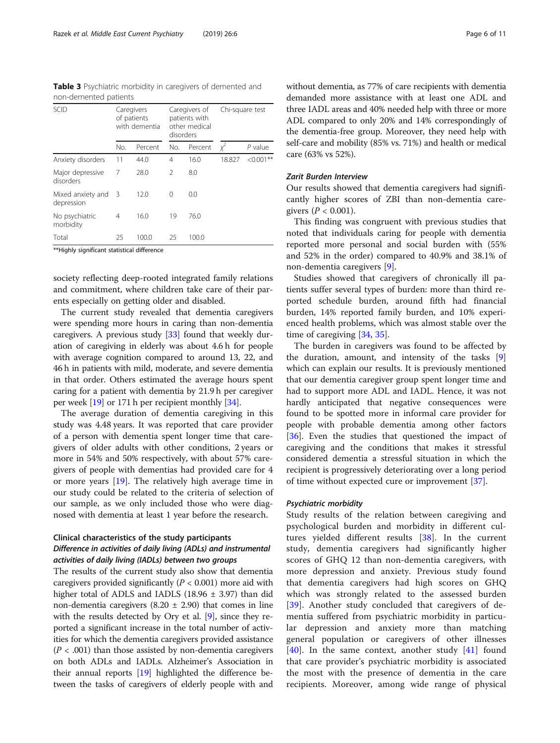<span id="page-5-0"></span>Table 3 Psychiatric morbidity in caregivers of demented and non-demented patients

| <b>SCID</b>                     |                | Caregivers<br>of patients<br>with dementia | disorders | Caregivers of<br>patients with<br>other medical | Chi-square test |              |
|---------------------------------|----------------|--------------------------------------------|-----------|-------------------------------------------------|-----------------|--------------|
|                                 | No.            | Percent                                    | No.       | Percent                                         | х <sup>2</sup>  | $P$ value    |
| Anxiety disorders               | 11             | 44.0                                       | 4         | 16.0                                            | 18.827          | $< 0.001$ ** |
| Major depressive<br>disorders   | 7              | 28.0                                       | 2         | 8.0                                             |                 |              |
| Mixed anxiety and<br>depression | - 3            | 12.0                                       | 0         | 0.0                                             |                 |              |
| No psychiatric<br>morbidity     | $\overline{4}$ | 16.0                                       | 19        | 76.0                                            |                 |              |
| Total                           | 25             | 100.0                                      | 25        | 100.0                                           |                 |              |

\*\*Highly significant statistical difference

society reflecting deep-rooted integrated family relations and commitment, where children take care of their parents especially on getting older and disabled.

The current study revealed that dementia caregivers were spending more hours in caring than non-dementia caregivers. A previous study [[33\]](#page-9-0) found that weekly duration of caregiving in elderly was about 4.6 h for people with average cognition compared to around 13, 22, and 46 h in patients with mild, moderate, and severe dementia in that order. Others estimated the average hours spent caring for a patient with dementia by 21.9 h per caregiver per week [\[19\]](#page-9-0) or 171 h per recipient monthly [[34](#page-9-0)].

The average duration of dementia caregiving in this study was 4.48 years. It was reported that care provider of a person with dementia spent longer time that caregivers of older adults with other conditions, 2 years or more in 54% and 50% respectively, with about 57% caregivers of people with dementias had provided care for 4 or more years [\[19\]](#page-9-0). The relatively high average time in our study could be related to the criteria of selection of our sample, as we only included those who were diagnosed with dementia at least 1 year before the research.

# Clinical characteristics of the study participants Difference in activities of daily living (ADLs) and instrumental activities of daily living (IADLs) between two groups

The results of the current study also show that dementia caregivers provided significantly ( $P < 0.001$ ) more aid with higher total of ADLS and IADLS (18.96  $\pm$  3.97) than did non-dementia caregivers  $(8.20 \pm 2.90)$  that comes in line with the results detected by Ory et al. [[9\]](#page-9-0), since they reported a significant increase in the total number of activities for which the dementia caregivers provided assistance  $(P < .001)$  than those assisted by non-dementia caregivers on both ADLs and IADLs. Alzheimer's Association in their annual reports [[19](#page-9-0)] highlighted the difference between the tasks of caregivers of elderly people with and without dementia, as 77% of care recipients with dementia demanded more assistance with at least one ADL and three IADL areas and 40% needed help with three or more ADL compared to only 20% and 14% correspondingly of the dementia-free group. Moreover, they need help with self-care and mobility (85% vs. 71%) and health or medical care (63% vs 52%).

#### Zarit Burden Interview

Our results showed that dementia caregivers had significantly higher scores of ZBI than non-dementia caregivers  $(P < 0.001)$ .

This finding was congruent with previous studies that noted that individuals caring for people with dementia reported more personal and social burden with (55% and 52% in the order) compared to 40.9% and 38.1% of non-dementia caregivers [[9](#page-9-0)].

Studies showed that caregivers of chronically ill patients suffer several types of burden: more than third reported schedule burden, around fifth had financial burden, 14% reported family burden, and 10% experienced health problems, which was almost stable over the time of caregiving [\[34](#page-9-0), [35](#page-9-0)].

The burden in caregivers was found to be affected by the duration, amount, and intensity of the tasks [\[9](#page-9-0)] which can explain our results. It is previously mentioned that our dementia caregiver group spent longer time and had to support more ADL and IADL. Hence, it was not hardly anticipated that negative consequences were found to be spotted more in informal care provider for people with probable dementia among other factors [[36\]](#page-9-0). Even the studies that questioned the impact of caregiving and the conditions that makes it stressful considered dementia a stressful situation in which the recipient is progressively deteriorating over a long period of time without expected cure or improvement [[37](#page-9-0)].

#### Psychiatric morbidity

Study results of the relation between caregiving and psychological burden and morbidity in different cultures yielded different results [\[38](#page-9-0)]. In the current study, dementia caregivers had significantly higher scores of GHQ 12 than non-dementia caregivers, with more depression and anxiety. Previous study found that dementia caregivers had high scores on GHQ which was strongly related to the assessed burden [[39\]](#page-9-0). Another study concluded that caregivers of dementia suffered from psychiatric morbidity in particular depression and anxiety more than matching general population or caregivers of other illnesses  $[40]$  $[40]$ . In the same context, another study  $[41]$  $[41]$  found that care provider's psychiatric morbidity is associated the most with the presence of dementia in the care recipients. Moreover, among wide range of physical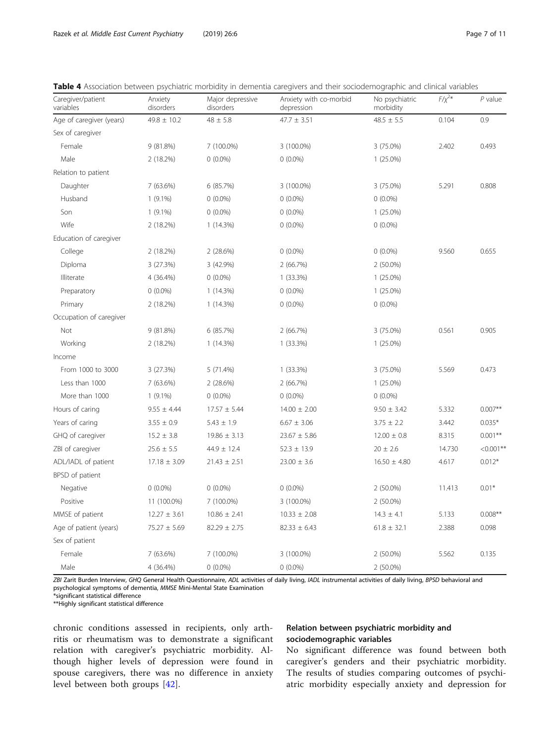<span id="page-6-0"></span>

| <b>Table 4</b> Association between psychiatric morbidity in dementia caregivers and their sociodemographic and clinical variables |  |  |  |  |
|-----------------------------------------------------------------------------------------------------------------------------------|--|--|--|--|
|                                                                                                                                   |  |  |  |  |

| Caregiver/patient<br>variables | Anxiety<br>disorders | Major depressive<br>disorders | Anxiety with co-morbid<br>depression | No psychiatric<br>morbidity | $F/\chi^2$ * | $P$ value    |
|--------------------------------|----------------------|-------------------------------|--------------------------------------|-----------------------------|--------------|--------------|
| Age of caregiver (years)       | $49.8 \pm 10.2$      | $48 \pm 5.8$                  | $47.7 \pm 3.51$                      | $48.5 \pm 5.5$              | 0.104        | 0.9          |
| Sex of caregiver               |                      |                               |                                      |                             |              |              |
| Female                         | 9(81.8%)             | 7 (100.0%)                    | 3 (100.0%)                           | 3 (75.0%)                   | 2.402        | 0.493        |
| Male                           | 2 (18.2%)            | $0(0.0\%)$                    | $0(0.0\%)$                           | $1(25.0\%)$                 |              |              |
| Relation to patient            |                      |                               |                                      |                             |              |              |
| Daughter                       | 7 (63.6%)            | 6(85.7%)                      | 3 (100.0%)                           | 3 (75.0%)                   | 5.291        | 0.808        |
| Husband                        | $1(9.1\%)$           | $0(0.0\%)$                    | $0(0.0\%)$                           | $0(0.0\%)$                  |              |              |
| Son                            | $1(9.1\%)$           | $0(0.0\%)$                    | $0(0.0\%)$                           | $1(25.0\%)$                 |              |              |
| Wife                           | 2 (18.2%)            | 1(14.3%)                      | $0(0.0\%)$                           | $0(0.0\%)$                  |              |              |
| Education of caregiver         |                      |                               |                                      |                             |              |              |
| College                        | 2 (18.2%)            | 2 (28.6%)                     | $0(0.0\%)$                           | $0(0.0\%)$                  | 9.560        | 0.655        |
| Diploma                        | 3(27.3%)             | 3 (42.9%)                     | 2(66.7%)                             | $2(50.0\%)$                 |              |              |
| Illiterate                     | 4 (36.4%)            | $0(0.0\%)$                    | 1(33.3%)                             | $1(25.0\%)$                 |              |              |
| Preparatory                    | $0(0.0\%)$           | 1(14.3%)                      | $0(0.0\%)$                           | $1(25.0\%)$                 |              |              |
| Primary                        | 2 (18.2%)            | 1(14.3%)                      | $0(0.0\%)$                           | $0(0.0\%)$                  |              |              |
| Occupation of caregiver        |                      |                               |                                      |                             |              |              |
| Not                            | 9 (81.8%)            | 6 (85.7%)                     | 2 (66.7%)                            | 3 (75.0%)                   | 0.561        | 0.905        |
| Working                        | 2(18.2%)             | 1(14.3%)                      | 1(33.3%)                             | $1(25.0\%)$                 |              |              |
| Income                         |                      |                               |                                      |                             |              |              |
| From 1000 to 3000              | 3 (27.3%)            | 5 (71.4%)                     | 1(33.3%)                             | 3 (75.0%)                   | 5.569        | 0.473        |
| Less than 1000                 | 7 (63.6%)            | 2(28.6%)                      | 2 (66.7%)                            | $1(25.0\%)$                 |              |              |
| More than 1000                 | $1(9.1\%)$           | $0(0.0\%)$                    | $0(0.0\%)$                           | $0(0.0\%)$                  |              |              |
| Hours of caring                | $9.55 \pm 4.44$      | $17.57 \pm 5.44$              | $14.00 \pm 2.00$                     | $9.50 \pm 3.42$             | 5.332        | $0.007**$    |
| Years of caring                | $3.55 \pm 0.9$       | $5.43 \pm 1.9$                | $6.67 \pm 3.06$                      | $3.75 \pm 2.2$              | 3.442        | $0.035*$     |
| GHQ of caregiver               | $15.2 \pm 3.8$       | $19.86 \pm 3.13$              | $23.67 \pm 5.86$                     | $12.00 \pm 0.8$             | 8.315        | $0.001**$    |
| ZBI of caregiver               | $25.6 \pm 5.5$       | $44.9 \pm 12.4$               | $52.3 \pm 13.9$                      | $20 \pm 2.6$                | 14.730       | $< 0.001$ ** |
| ADL/IADL of patient            | $17.18 \pm 3.09$     | $21.43 \pm 2.51$              | $23.00 \pm 3.6$                      | $16.50 \pm 4.80$            | 4.617        | $0.012*$     |
| BPSD of patient                |                      |                               |                                      |                             |              |              |
| Negative                       | $0(0.0\%)$           | $0(0.0\%)$                    | $0(0.0\%)$                           | 2 (50.0%)                   | 11.413       | $0.01*$      |
| Positive                       | 11 (100.0%)          | 7 (100.0%)                    | 3 (100.0%)                           | 2 (50.0%)                   |              |              |
| MMSE of patient                | $12.27 \pm 3.61$     | $10.86 \pm 2.41$              | $10.33 \pm 2.08$                     | $14.3 \pm 4.1$              | 5.133        | $0.008**$    |
| Age of patient (years)         | $75.27 \pm 5.69$     | $82.29 \pm 2.75$              | $82.33 \pm 6.43$                     | $61.8 \pm 32.1$             | 2.388        | 0.098        |
| Sex of patient                 |                      |                               |                                      |                             |              |              |
| Female                         | 7 (63.6%)            | 7 (100.0%)                    | 3 (100.0%)                           | $2(50.0\%)$                 | 5.562        | 0.135        |
| Male                           | 4 (36.4%)            | $0(0.0\%)$                    | $0(0.0\%)$                           | 2 (50.0%)                   |              |              |

ZBI Zarit Burden Interview, GHQ General Health Questionnaire, ADL activities of daily living, IADL instrumental activities of daily living, BPSD behavioral and psychological symptoms of dementia, MMSE Mini-Mental State Examination

\*significant statistical difference

\*\*Highly significant statistical difference

chronic conditions assessed in recipients, only arthritis or rheumatism was to demonstrate a significant relation with caregiver's psychiatric morbidity. Although higher levels of depression were found in spouse caregivers, there was no difference in anxiety level between both groups [\[42](#page-9-0)].

# Relation between psychiatric morbidity and sociodemographic variables

No significant difference was found between both caregiver's genders and their psychiatric morbidity. The results of studies comparing outcomes of psychiatric morbidity especially anxiety and depression for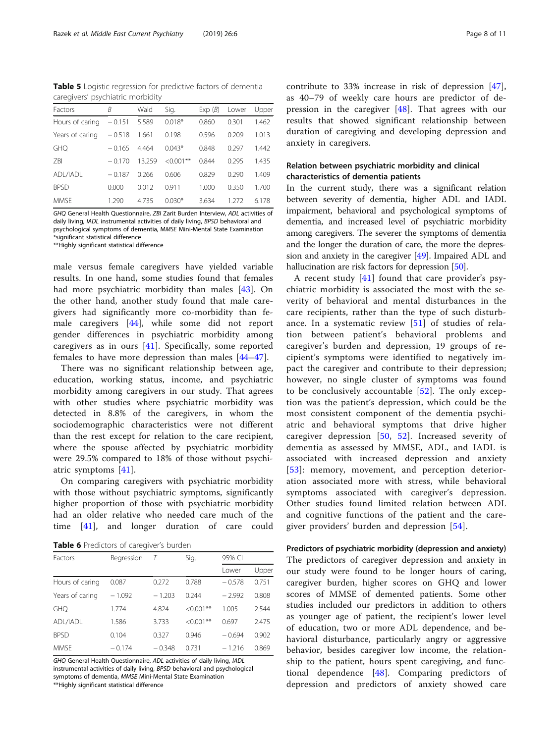<span id="page-7-0"></span>Table 5 Logistic regression for predictive factors of dementia caregivers' psychiatric morbidity

| Factors         | B        | Wald  | Sig.         | Exp(B) | Lower | Upper |
|-----------------|----------|-------|--------------|--------|-------|-------|
| Hours of caring | $-0.151$ | 5.589 | $0.018*$     | 0.860  | 0.301 | 1.462 |
| Years of caring | $-0.518$ | 1.661 | 0.198        | 0.596  | 0.209 | 1.013 |
| <b>GHO</b>      | $-0.165$ | 4.464 | $0.043*$     | 0.848  | 0.297 | 1.442 |
| 7BI             | $-0.170$ | 13259 | $< 0.001$ ** | 0.844  | 0.295 | 1.435 |
| ADL/IADL        | $-0.187$ | 0.266 | 0.606        | 0.829  | 0.290 | 1.409 |
| <b>BPSD</b>     | 0.000    | 0.012 | 0911         | 1.000  | 0.350 | 1.700 |
| <b>MMSF</b>     | 1 2 9 0  | 4735  | $0.030*$     | 3.634  | 1 272 | 6178  |

GHQ General Health Questionnaire, ZBI Zarit Burden Interview, ADL activities of daily living, IADL instrumental activities of daily living, BPSD behavioral and psychological symptoms of dementia, MMSE Mini-Mental State Examination \*significant statistical difference

\*\*Highly significant statistical difference

male versus female caregivers have yielded variable results. In one hand, some studies found that females had more psychiatric morbidity than males [[43\]](#page-9-0). On the other hand, another study found that male caregivers had significantly more co-morbidity than female caregivers [\[44\]](#page-9-0), while some did not report gender differences in psychiatric morbidity among caregivers as in ours [[41\]](#page-9-0). Specifically, some reported females to have more depression than males [[44](#page-9-0)–[47\]](#page-9-0).

There was no significant relationship between age, education, working status, income, and psychiatric morbidity among caregivers in our study. That agrees with other studies where psychiatric morbidity was detected in 8.8% of the caregivers, in whom the sociodemographic characteristics were not different than the rest except for relation to the care recipient, where the spouse affected by psychiatric morbidity were 29.5% compared to 18% of those without psychiatric symptoms [[41](#page-9-0)].

On comparing caregivers with psychiatric morbidity with those without psychiatric symptoms, significantly higher proportion of those with psychiatric morbidity had an older relative who needed care much of the time [[41\]](#page-9-0), and longer duration of care could

Table 6 Predictors of caregiver's burden

| Factors         | Regression |          | Sig.         | 95% CI   |       |
|-----------------|------------|----------|--------------|----------|-------|
|                 |            |          |              | Lower    | Upper |
| Hours of caring | 0.087      | 0.272    | 0.788        | $-0.578$ | 0751  |
| Years of caring | $-1.092$   | $-1.203$ | 0.244        | $-2.992$ | 0.808 |
| <b>GHO</b>      | 1.774      | 4.824    | $< 0.001$ ** | 1.005    | 2544  |
| ADL/IADL        | 1.586      | 3.733    | $< 0.001$ ** | 0.697    | 2.475 |
| <b>BPSD</b>     | 0.104      | 0.327    | 0.946        | $-0.694$ | 0.902 |
| <b>MMSE</b>     | $-0.174$   | $-0.348$ | 0.731        | $-1.216$ | 0.869 |

GHQ General Health Questionnaire, ADL activities of daily living, IADL instrumental activities of daily living, BPSD behavioral and psychological symptoms of dementia, MMSE Mini-Mental State Examination

\*\*Highly significant statistical difference

contribute to 33% increase in risk of depression [\[47](#page-9-0)], as 40–79 of weekly care hours are predictor of depression in the caregiver  $[48]$  $[48]$ . That agrees with our results that showed significant relationship between duration of caregiving and developing depression and anxiety in caregivers.

# Relation between psychiatric morbidity and clinical characteristics of dementia patients

In the current study, there was a significant relation between severity of dementia, higher ADL and IADL impairment, behavioral and psychological symptoms of dementia, and increased level of psychiatric morbidity among caregivers. The severer the symptoms of dementia and the longer the duration of care, the more the depression and anxiety in the caregiver [[49](#page-9-0)]. Impaired ADL and hallucination are risk factors for depression [\[50\]](#page-9-0).

A recent study [\[41](#page-9-0)] found that care provider's psychiatric morbidity is associated the most with the severity of behavioral and mental disturbances in the care recipients, rather than the type of such disturbance. In a systematic review [[51\]](#page-9-0) of studies of relation between patient's behavioral problems and caregiver's burden and depression, 19 groups of recipient's symptoms were identified to negatively impact the caregiver and contribute to their depression; however, no single cluster of symptoms was found to be conclusively accountable  $[52]$  $[52]$ . The only exception was the patient's depression, which could be the most consistent component of the dementia psychiatric and behavioral symptoms that drive higher caregiver depression [\[50](#page-9-0), [52](#page-9-0)]. Increased severity of dementia as assessed by MMSE, ADL, and IADL is associated with increased depression and anxiety [[53](#page-10-0)]: memory, movement, and perception deterioration associated more with stress, while behavioral symptoms associated with caregiver's depression. Other studies found limited relation between ADL and cognitive functions of the patient and the care-giver providers' burden and depression [[54\]](#page-10-0).

#### Predictors of psychiatric morbidity (depression and anxiety)

The predictors of caregiver depression and anxiety in our study were found to be longer hours of caring, caregiver burden, higher scores on GHQ and lower scores of MMSE of demented patients. Some other studies included our predictors in addition to others as younger age of patient, the recipient's lower level of education, two or more ADL dependence, and behavioral disturbance, particularly angry or aggressive behavior, besides caregiver low income, the relationship to the patient, hours spent caregiving, and functional dependence [\[48](#page-9-0)]. Comparing predictors of depression and predictors of anxiety showed care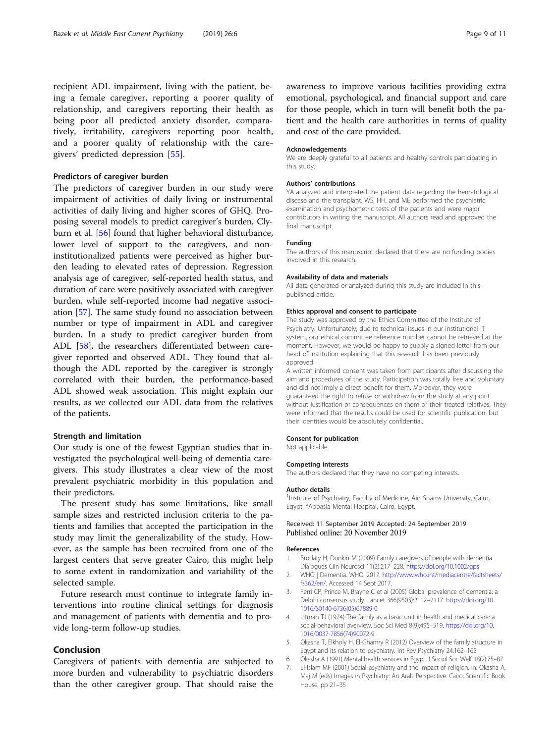<span id="page-8-0"></span>recipient ADL impairment, living with the patient, being a female caregiver, reporting a poorer quality of relationship, and caregivers reporting their health as being poor all predicted anxiety disorder, comparatively, irritability, caregivers reporting poor health, and a poorer quality of relationship with the caregivers' predicted depression [\[55](#page-10-0)].

#### Predictors of caregiver burden

The predictors of caregiver burden in our study were impairment of activities of daily living or instrumental activities of daily living and higher scores of GHQ. Proposing several models to predict caregiver's burden, Clyburn et al. [\[56\]](#page-10-0) found that higher behavioral disturbance, lower level of support to the caregivers, and noninstitutionalized patients were perceived as higher burden leading to elevated rates of depression. Regression analysis age of caregiver, self-reported health status, and duration of care were positively associated with caregiver burden, while self-reported income had negative association [\[57](#page-10-0)]. The same study found no association between number or type of impairment in ADL and caregiver burden. In a study to predict caregiver burden from ADL [\[58](#page-10-0)], the researchers differentiated between caregiver reported and observed ADL. They found that although the ADL reported by the caregiver is strongly correlated with their burden, the performance-based ADL showed weak association. This might explain our results, as we collected our ADL data from the relatives of the patients.

### Strength and limitation

Our study is one of the fewest Egyptian studies that investigated the psychological well-being of dementia caregivers. This study illustrates a clear view of the most prevalent psychiatric morbidity in this population and their predictors.

The present study has some limitations, like small sample sizes and restricted inclusion criteria to the patients and families that accepted the participation in the study may limit the generalizability of the study. However, as the sample has been recruited from one of the largest centers that serve greater Cairo, this might help to some extent in randomization and variability of the selected sample.

Future research must continue to integrate family interventions into routine clinical settings for diagnosis and management of patients with dementia and to provide long-term follow-up studies.

#### Conclusion

Caregivers of patients with dementia are subjected to more burden and vulnerability to psychiatric disorders than the other caregiver group. That should raise the awareness to improve various facilities providing extra emotional, psychological, and financial support and care for those people, which in turn will benefit both the patient and the health care authorities in terms of quality and cost of the care provided.

#### Acknowledgements

We are deeply grateful to all patients and healthy controls participating in this study.

#### Authors' contributions

YA analyzed and interpreted the patient data regarding the hematological disease and the transplant. WS, HH, and ME performed the psychiatric examination and psychometric tests of the patients and were major contributors in writing the manuscript. All authors read and approved the final manuscript.

#### Funding

The authors of this manuscript declared that there are no funding bodies involved in this research.

#### Availability of data and materials

All data generated or analyzed during this study are included in this published article.

#### Ethics approval and consent to participate

The study was approved by the Ethics Committee of the Institute of Psychiatry. Unfortunately, due to technical issues in our institutional IT system, our ethical committee reference number cannot be retrieved at the moment. However, we would be happy to supply a signed letter from our head of institution explaining that this research has been previously approved.

A written informed consent was taken from participants after discussing the aim and procedures of the study. Participation was totally free and voluntary and did not imply a direct benefit for them. Moreover, they were guaranteed the right to refuse or withdraw from the study at any point without justification or consequences on them or their treated relatives. They were informed that the results could be used for scientific publication, but their identities would be absolutely confidential.

#### Consent for publication

Not applicable

# Competing interests

The authors declared that they have no competing interests.

#### Author details

<sup>1</sup>Institute of Psychiatry, Faculty of Medicine, Ain Shams University, Cairo, Egypt. <sup>2</sup> Abbasia Mental Hospital, Cairo, Egypt.

#### Received: 11 September 2019 Accepted: 24 September 2019 Published online: 20 November 2019

#### References

- 1. Brodaty H, Donkin M (2009) Family caregivers of people with dementia. Dialogues Clin Neurosci 11(2):217–228. <https://doi.org/10.1002/gps>
- 2. WHO | Dementia. WHO. 2017. [http://www.who.int/mediacentre/factsheets/](http://www.who.int/mediacentre/factsheets/fs362/en/) [fs362/en/.](http://www.who.int/mediacentre/factsheets/fs362/en/) Accessed 14 Sept 2017.
- 3. Ferri CP, Prince M, Brayne C et al (2005) Global prevalence of dementia: a Delphi consensus study. Lancet 366(9503):2112–2117. [https://doi.org/10.](https://doi.org/10.1016/S0140-6736(05)67889-0) [1016/S0140-6736\(05\)67889-0](https://doi.org/10.1016/S0140-6736(05)67889-0)
- 4. Litman TJ (1974) The family as a basic unit in health and medical care: a social-behavioral overview. Soc Sci Med 8(9):495–519. [https://doi.org/10.](https://doi.org/10.1016/0037-7856(74)90072-9) [1016/0037-7856\(74\)90072-9](https://doi.org/10.1016/0037-7856(74)90072-9)
- 5. Okasha T, Elkholy H, El-Ghamry R (2012) Overview of the family structure in Egypt and its relation to psychiatry. Int Rev Psychiatry 24:162–165
- 6. Okasha A (1991) Mental health services in Egypt. J Sociol Soc Welf 18(2):75–87
- 7. El-Islam MF (2001) Social psychiatry and the impact of religion. In: Okasha A, Maj M (eds) Images in Psychiatry: An Arab Perspective. Cairo, Scientific Book House, pp 21–35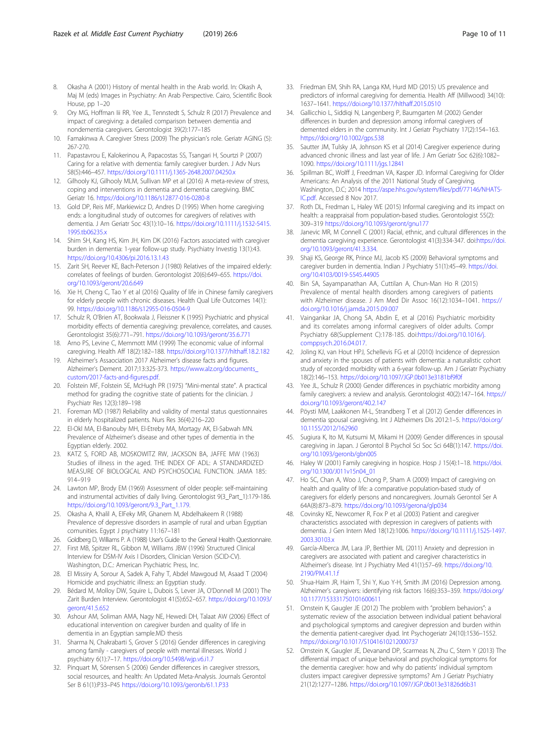- <span id="page-9-0"></span>8. Okasha A (2001) History of mental health in the Arab world. In: Okash A, Maj M (eds) Images in Psychiatry: An Arab Perspective. Cairo, Scientific Book House, pp 1–20
- Ory MG, Hoffman Iii RR, Yee JL, Tennstedt S, Schulz R (2017) Prevalence and impact of caregiving: a detailed comparison between dementia and nondementia caregivers. Gerontologist 39(2):177–185
- 10. Famakinwa A. Caregiver Stress (2009) The physician's role. Geriatr AGING (5): 267-270.
- 11. Papastavrou E, Kalokerinou A, Papacostas SS, Tsangari H, Sourtzi P (2007) Caring for a relative with dementia: family caregiver burden. J Adv Nurs 58(5):446–457. <https://doi.org/10.1111/j.1365-2648.2007.04250.x>
- 12. Gilhooly KJ, Gilhooly MLM, Sullivan MP et al (2016) A meta-review of stress, coping and interventions in dementia and dementia caregiving. BMC Geriatr 16. <https://doi.org/10.1186/s12877-016-0280-8>
- 13. Gold DP, Reis MF, Markiewicz D, Andres D (1995) When home caregiving ends: a longitudinal study of outcomes for caregivers of relatives with dementia. J Am Geriatr Soc 43(1):10–16. [https://doi.org/10.1111/j.1532-5415.](https://doi.org/10.1111/j.1532-5415.1995.tb06235.x) [1995.tb06235.x](https://doi.org/10.1111/j.1532-5415.1995.tb06235.x)
- 14. Shim SH, Kang HS, Kim JH, Kim DK (2016) Factors associated with caregiver burden in dementia: 1-year follow-up study. Psychiatry Investig 13(1):43. <https://doi.org/10.4306/pi.2016.13.1.43>
- 15. Zarit SH, Reever KE, Bach-Peterson J (1980) Relatives of the impaired elderly: correlates of feelings of burden. Gerontologist 20(6):649–655. [https://doi.](https://doi.org/10.1093/geront/20.6.649) [org/10.1093/geront/20.6.649](https://doi.org/10.1093/geront/20.6.649)
- 16. Xie H, Cheng C, Tao Y et al (2016) Quality of life in Chinese family caregivers for elderly people with chronic diseases. Health Qual Life Outcomes 14(1): 99. <https://doi.org/10.1186/s12955-016-0504-9>
- 17. Schulz R, O'Brien AT, Bookwala J, Fleissner K (1995) Psychiatric and physical morbidity effects of dementia caregiving: prevalence, correlates, and causes. Gerontologist 35(6):771–791. <https://doi.org/10.1093/geront/35.6.771>
- 18. Arno PS, Levine C, Memmott MM (1999) The economic value of informal caregiving. Health Aff 18(2):182–188. <https://doi.org/10.1377/hlthaff.18.2.182>
- 19. Alzheimer's Assaociation 2017 Alzheimer's disease facts and figures. Alzheimer's Dement. 2017;13:325-373. [https://www.alz.org/documents\\_](https://www.alz.org/documents_custom/2017-facts-and-figures.pdf) [custom/2017-facts-and-figures.pdf.](https://www.alz.org/documents_custom/2017-facts-and-figures.pdf)
- 20. Folstein MF, Folstein SE, McHugh PR (1975) "Mini-mental state". A practical method for grading the cognitive state of patients for the clinician. J Psychiatr Res 12(3):189–198
- 21. Foreman MD (1987) Reliability and validity of mental status questionnaires in elderly hospitalized patients. Nurs Res 36(4):216–220
- 22. El-Okl MA, El-Banouby MH, El-Etreby MA, Mortagy AK, El-Sabwah MN. Prevalence of Alzheimer's disease and other types of dementia in the Egyptian elderly. 2002.
- 23. KATZ S, FORD AB, MOSKOWITZ RW, JACKSON BA, JAFFE MW (1963) Studies of illness in the aged. THE INDEX OF ADL: A STANDARDIZED MEASURE OF BIOLOGICAL AND PSYCHOSOCIAL FUNCTION. JAMA 185: 914–919
- 24. Lawton MP, Brody EM (1969) Assessment of older people: self-maintaining and instrumental activities of daily living. Gerontologist 9(3\_Part\_1):179-186. [https://doi.org/10.1093/geront/9.3\\_Part\\_1.179](https://doi.org/10.1093/geront/9.3_Part_1.179).
- 25. Okasha A, Khalil A, ElFeky MR, Ghanem M, Abdelhakeem R (1988) Prevalence of depressive disorders in asample of rural and urban Egyptian comunities. Egypt J psychiatry 11:167–181
- 26. Goldberg D, Williams P. A (1988) User's Guide to the General Health Questionnaire.
- 27. First MB, Spitzer RL, Gibbon M, Williams JBW (1996) Structured Clinical Interview for DSM-IV Axis I Disorders, Clinician Version (SCID-CV). Washington, D.C.: American Psychiatric Press, Inc.
- 28. El Missiry A, Sorour A, Sadek A, Fahy T, Abdel Mawgoud M, Asaad T (2004) Homicide and psychiatric illness: an Egyptian study.
- 29. Bédard M, Molloy DW, Squire L, Dubois S, Lever JA, O'Donnell M (2001) The Zarit Burden Interview. Gerontologist 41(5):652–657. [https://doi.org/10.1093/](https://doi.org/10.1093/geront/41.5.652) [geront/41.5.652](https://doi.org/10.1093/geront/41.5.652)
- 30. Ashour AM, Soliman AMA, Nagy NE, Hewedi DH, Talaat AW (2006) Effect of educational intervention on caregiver burden and quality of life in dementia in an Egyptian sample.MD thesis
- 31. Sharma N, Chakrabarti S, Grover S (2016) Gender differences in caregiving among family - caregivers of people with mental illnesses. World J psychiatry 6(1):7–17. <https://doi.org/10.5498/wjp.v6.i1.7>
- 32. Pinquart M, Sörensen S (2006) Gender differences in caregiver stressors, social resources, and health: An Updated Meta-Analysis. Journals Gerontol Ser B 61(1):P33–P45 <https://doi.org/10.1093/geronb/61.1.P33>
- 33. Friedman EM, Shih RA, Langa KM, Hurd MD (2015) US prevalence and predictors of informal caregiving for dementia. Health Aff (Millwood) 34(10): 1637–1641. <https://doi.org/10.1377/hlthaff.2015.0510>
- 34. Gallicchio L, Siddiqi N, Langenberg P, Baumgarten M (2002) Gender differences in burden and depression among informal caregivers of demented elders in the community. Int J Geriatr Psychiatry 17(2):154–163. <https://doi.org/10.1002/gps.538>
- 35. Sautter JM, Tulsky JA, Johnson KS et al (2014) Caregiver experience during advanced chronic illness and last year of life. J Am Geriatr Soc 62(6):1082– 1090. <https://doi.org/10.1111/jgs.12841>
- 36. Spillman BC, Wolff J, Freedman VA, Kasper JD. Informal Caregiving for Older Americans: An Analysis of the 2011 National Study of Caregiving. Washington, D.C; 2014 [https://aspe.hhs.gov/system/files/pdf/77146/NHATS-](https://aspe.hhs.gov/system/files/pdf/77146/NHATS-IC.pdf)[IC.pdf.](https://aspe.hhs.gov/system/files/pdf/77146/NHATS-IC.pdf) Accessed 8 Nov 2017.
- 37. Roth DL, Fredman L, Haley WE (2015) Informal caregiving and its impact on health: a reappraisal from population-based studies. Gerontologist 55(2): 309–319 <https://doi.org/10.1093/geront/gnu177>
- 38. Janevic MR, M Connell C (2001) Racial, ethnic, and cultural differences in the dementia caregiving experience. Gerontologist 41(3):334-347. doi[:https://doi.](https://doi.org/10.1093/geront/41.3.334) [org/10.1093/geront/41.3.334](https://doi.org/10.1093/geront/41.3.334).
- 39. Shaji KS, George RK, Prince MJ, Jacob KS (2009) Behavioral symptoms and caregiver burden in dementia. Indian J Psychiatry 51(1):45–49. [https://doi.](https://doi.org/10.4103/0019-5545.44905) [org/10.4103/0019-5545.44905](https://doi.org/10.4103/0019-5545.44905)
- 40. Bin SA, Sayampanathan AA, Cuttilan A, Chun-Man Ho R (2015) Prevalence of mental health disorders among caregivers of patients with Alzheimer disease. J Am Med Dir Assoc 16(12):1034–1041. [https://](https://doi.org/10.1016/j.jamda.2015.09.007) [doi.org/10.1016/j.jamda.2015.09.007](https://doi.org/10.1016/j.jamda.2015.09.007)
- 41. Vaingankar JA, Chong SA, Abdin E, et al (2016) Psychiatric morbidity and its correlates among informal caregivers of older adults. Compr Psychiatry 68(Supplement C):178-185. doi[:https://doi.org/10.1016/j.](https://doi.org/10.1016/j.comppsych.2016.04.017) [comppsych.2016.04.017.](https://doi.org/10.1016/j.comppsych.2016.04.017)
- 42. Joling KJ, van Hout HPJ, Schellevis FG et al (2010) Incidence of depression and anxiety in the spouses of patients with dementia: a naturalistic cohort study of recorded morbidity with a 6-year follow-up. Am J Geriatr Psychiatry 18(2):146–153. <https://doi.org/10.1097/JGP.0b013e3181bf9f0f>
- Yee JL, Schulz R (2000) Gender differences in psychiatric morbidity among family caregivers: a review and analysis. Gerontologist 40(2):147–164. [https://](https://doi.org/10.1093/geront/40.2.147) [doi.org/10.1093/geront/40.2.147](https://doi.org/10.1093/geront/40.2.147)
- 44. Pöysti MM, Laakkonen M-L, Strandberg T et al (2012) Gender differences in dementia spousal caregiving. Int J Alzheimers Dis 2012:1–5. [https://doi.org/](https://doi.org/10.1155/2012/162960) [10.1155/2012/162960](https://doi.org/10.1155/2012/162960)
- 45. Sugiura K, Ito M, Kutsumi M, Mikami H (2009) Gender differences in spousal caregiving in Japan. J Gerontol B Psychol Sci Soc Sci 64B(1):147. [https://doi.](https://doi.org/10.1093/geronb/gbn005) [org/10.1093/geronb/gbn005](https://doi.org/10.1093/geronb/gbn005)
- 46. Haley W (2001) Family caregiving in hospice. Hosp J 15(4):1–18. [https://doi.](https://doi.org/10.1300/J011v15n04_01) [org/10.1300/J011v15n04\\_01](https://doi.org/10.1300/J011v15n04_01)
- 47. Ho SC, Chan A, Woo J, Chong P, Sham A (2009) Impact of caregiving on health and quality of life: a comparative population-based study of caregivers for elderly persons and noncaregivers. Journals Gerontol Ser A 64A(8):873–879. <https://doi.org/10.1093/gerona/glp034>
- 48. Covinsky KE, Newcomer R, Fox P et al (2003) Patient and caregiver characteristics associated with depression in caregivers of patients with dementia. J Gen Intern Med 18(12):1006. [https://doi.org/10.1111/j.1525-1497.](https://doi.org/10.1111/j.1525-1497.2003.30103.x) [2003.30103.x](https://doi.org/10.1111/j.1525-1497.2003.30103.x)
- 49. García-Alberca JM, Lara JP, Berthier ML (2011) Anxiety and depression in caregivers are associated with patient and caregiver characteristics in Alzheimer's disease. Int J Psychiatry Med 41(1):57–69. [https://doi.org/10.](https://doi.org/10.2190/PM.41.1.f) [2190/PM.41.1.f](https://doi.org/10.2190/PM.41.1.f)
- 50. Shua-Haim JR, Haim T, Shi Y, Kuo Y-H, Smith JM (2016) Depression among. Alzheimer's caregivers: identifying risk factors 16(6):353–359. [https://doi.org/](https://doi.org/10.1177/153331750101600611) [10.1177/153331750101600611](https://doi.org/10.1177/153331750101600611)
- 51. Ornstein K, Gaugler JE (2012) The problem with "problem behaviors": a systematic review of the association between individual patient behavioral and psychological symptoms and caregiver depression and burden within the dementia patient-caregiver dyad. Int Psychogeriatr 24(10):1536–1552. <https://doi.org/10.1017/S1041610212000737>
- 52. Ornstein K, Gaugler JE, Devanand DP, Scarmeas N, Zhu C, Stern Y (2013) The differential impact of unique behavioral and psychological symptoms for the dementia caregiver: how and why do patients' individual symptom clusters impact caregiver depressive symptoms? Am J Geriatr Psychiatry 21(12):1277–1286. <https://doi.org/10.1097/JGP.0b013e31826d6b31>